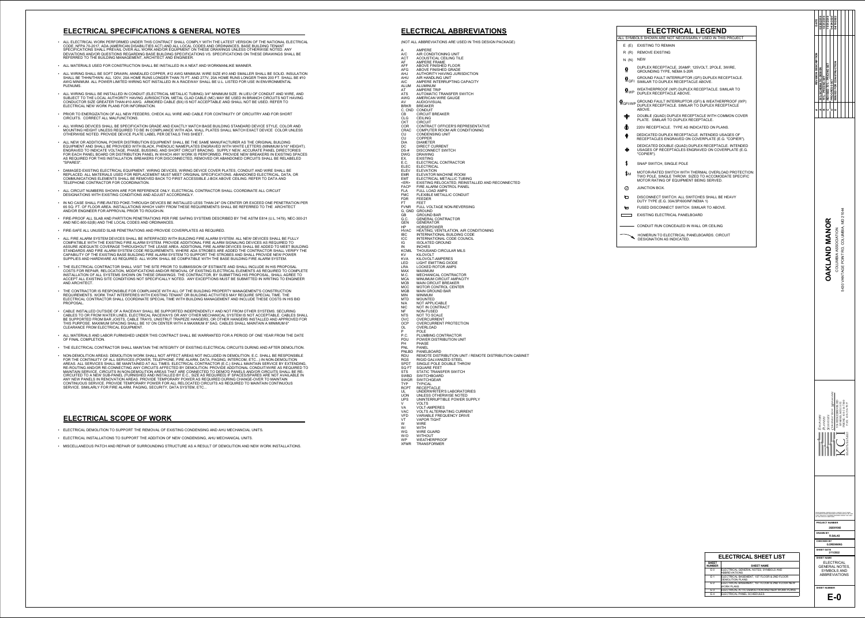- ALL ELECTRICAL WORK PERFORMED UNDER THIS CONTRACT SHALL COMPLY WITH THE LATEST VERSION OF THE NATIONAL ELECTRICAL CODE, NFPA 70-2017, ADA (AMERICAN DISABILITIES ACT) AND ALL LOCAL CODES AND ORDINANCES. BASE BUILDING TENANT SPECIFICATIONS SHALL PREVAIL OVER ALL WORK AND/OR EQUIPMENT ON THESE DRAWINGS UNLESS OTHERWISE NOTED. ANY DEVIATIONS AND/OR QUESTIONS REGARDING BASE BUILDING SPECIFICATIONS VS. SPECIFICATIONS ON THESE DRAWINGS SHALL BE REFERRED TO THE BUILDING MANAGEMENT, ARCHITECT AND ENGINEER.
- ALL MATERIALS USED FOR CONSTRUCTION SHALL BE INSTALLED IN A NEAT AND WORKMANLIKE MANNER.
- ALL WIRING SHALL BE SOFT DRAWN, ANNEALED COPPER, #12 AWG MINIMUM. WIRE SIZE #10 AND SMALLER SHALL BE SOLID. INSULATION SHALL BE THHN/THWN. ALL 120V, 20A HOME RUNS LONGER THAN 75 FT. AND 277V, 20A HOME RUNS LONGER THAN 200 FT. SHALL BE #10 AWG MINIMUM. ALL POWER LIMITED WIRING NOT INSTALLED IN A RACEWAY SHALL BE U.L. LISTED FOR USE IN ENVIRONMENTAL PLENUMS.
- ALL WIRING SHALL BE INSTALLED IN CONDUIT (ELECTRICAL METALLIC TUBING) 3/4" MINIMUM SIZE. IN LIEU OF CONDUIT AND WIRE, AND SUBJECT TO THE LOCAL AUTHORITY HAVING JURISDICTION, METAL CLAD CABLE (MC) MAY BE USED IN BRANCH CIRCUITS NOT HAVING CONDUCTOR SIZE GREATER THAN #10 AWG. ARMORED CABLE (BX) IS NOT ACCEPTABLE AND SHALL NOT BE USED. REFER TO ELECTRICAL NEW WORK PLANS FOR INFORMATION.
- PRIOR TO ENERGIZATION OF ALL NEW FEEDERS, CHECK ALL WIRE AND CABLE FOR CONTINUITY OF CIRCUITRY AND FOR SHORT CIRCUITS. CORRECT ALL MALFUNCTIONS.
- ALL WIRING DEVICES SHALL BE SPECIFICATION GRADE AND EXACTLY MATCH BASE BUILDING STANDARD DEVICE STYLE, COLOR AND MOUNTING HEIGHT UNLESS REQUIRED TO BE IN COMPLIANCE WITH ADA. WALL PLATES SHALL MATCH EXACT DEVICE COLOR UNLESS OTHERWISE NOTED. PROVIDE DEVICE PLATE LABEL PER DETAILS THIS SHEET.
- ALL NEW OR ADDITIONAL POWER DISTRIBUTION EQUIPMENT SHALL BE THE SAME MANUFACTURER AS THE ORIGINAL BUILDING EQUIPMENT AND SHALL BE PROVIDED WITH BLACK, PHENOLIC NAMEPLATES ENGRAVED WITH WHITE LETTERS (MINIMUM 5/16" HEIGHT). ENGRAVED TO INDICATE VOLTAGE, PHASE, BUSSING, AND SHORT CIRCUIT BRACING. SUPPLY NEW, ACCURATE PANEL DIRECTORIES FOR EACH PANEL BOARD OR DISTRIBUTION PANEL IN WHICH ANY WORK IS PERFORMED. PROVIDE NEW BREAKERS IN EXISTING SPACES AS REQUIRED FOR THIS INSTALLATION. BREAKERS FOR DISCONNECTED, REMOVED OR ABANDONED CIRCUITS SHALL BE RELABELED "SPARES".
- DAMAGED EXISTING ELECTRICAL EQUIPMENT, WIRING DEVICES, WIRING DEVICE COVER PLATES, CONDUIT AND WIRE SHALL BE REPLACED. ALL MATERIALS USED FOR REPLACEMENT MUST MEET ORIGINAL SPECIFICATIONS. ABANDONED ELECTRICAL, DATA, OR COMMUNICATIONS ELEMENTS SHALL BE REMOVED BACK TO FIRST ACCESSIBLE J-BOX ABOVE CEILING. REFER TO DATA AND TELEPHONE CONTRACTOR FOR COORDINATION.
- ALL CIRCUIT NUMBERS SHOWN ARE FOR REFERENCE ONLY. ELECTRICAL CONTRACTOR SHALL COORDINATE ALL CIRCUIT DESIGNATIONS WITH EXISTING CONDITIONS AND ADJUST ACCORDINGLY.
- IN NO CASE SHALL FIRE-RATED POKE-THROUGH DEVICES BE INSTALLED LESS THAN 24" ON CENTER OR EXCEED ONE PENETRATION PER 65 SQ. FT. OF FLOOR AREA. INSTALLATIONS WHICH VARY FROM THESE REQUIREMENTS SHALL BE REFERRED TO THE ARCHITECT AND/OR ENGINEER FOR APPROVAL PRIOR TO ROUGH-IN.
- FIRE-PROOF ALL SLAB AND PARTITION PENETRATIONS PER FIRE SAFING SYSTEMS DESCRIBED BY THE ASTM E814 (U.L.1479), NEC-300-21 AND NEC-800-52(B) AND THE LOCAL CODES AND ORDINANCES.
- FIRE-SAFE ALL UNUSED SLAB PENETRATIONS AND PROVIDE COVERPLATES AS REQUIRED.
- ALL FIRE ALARM SYSTEM DEVICES SHALL BE INTERFACED WITH BUILDING FIRE ALARM SYSTEM. ALL NEW DEVICES SHALL BE FULLY COMPATIBLE WITH THE EXISTING FIRE ALARM SYSTEM. PROVIDE ADDITIONAL FIRE ALARM SIGNALING DEVICES AS REQUIRED TO ASSURE ADEQUATE COVERAGE THROUGHOUT THE LEASE AREA. ADDITIONAL FIRE ALARM DEVICES SHALL BE ADDED TO MEET BUILDING STANDARDS AND FIRE ALARM SYSTEM CODE REQUIREMENTS. WHERE ADA STROBES ARE ADDED THE CONTRACTOR SHALL VERIFY THE CAPABILITY OF THE EXISTING BASE BUILDING FIRE ALARM SYSTEM TO SUPPORT THE STROBES AND SHALL PROVIDE NEW POWER SUPPLIES AND HARDWARE AS REQUIRED. ALL WORK SHALL BE COMPATIBLE WITH THE BASE BUILDING FIRE ALARM SYSTEM.
- THE ELECTRICAL CONTRACTOR SHALL VISIT THE SITE PRIOR TO SUBMISSION OF ESTIMATE AND SHALL INCLUDE IN HIS PROPOSAL COSTS FOR REPAIR, RELOCATION, MODIFICATIONS AND/OR REMOVAL OF EXISTING ELECTRICAL ELEMENTS AS REQUIRED TO COMPLETE INSTALLATION OF ALL SYSTEMS SHOWN ON THESE DRAWINGS. THE CONTRACTOR, BY SUBMITTING HIS PROPOSAL, SHALL AGREE TO ACCEPT ALL EXISTING SITE CONDITIONS NOT SPECIFICALLY NOTED. ANY EXCEPTIONS MUST BE SUBMITTED IN WRITING TO ENGINEER AND ARCHITECT.
- THE CONTRACTOR IS RESPONSIBLE FOR COMPLIANCE WITH ALL OF THE BUILDING PROPERTY MANAGEMENT'S CONSTRUCTION REQUIREMENTS. WORK THAT INTERFERES WITH EXISTING TENANT OR BUILDING ACTIVITIES MAY REQUIRE SPECIAL TIME. THE ELECTRICAL CONTRACTOR SHALL COORDINATE SPECIAL TIME WITH BUILDING MANAGEMENT AND INCLUDE THESE COSTS IN HIS BID PROPOSAL.
- CABLE INSTALLED OUTSIDE OF A RACEWAY SHALL BE SUPPORTED INDEPENDENTLY AND NOT FROM OTHER SYSTEMS. SECURING CABLES TO OR FROM WATER LINES, ELECTRICAL RACEWAYS OR ANY OTHER MECHANICAL SYSTEM IS NOT ACCEPTABLE. CABLES SHALL BE SUPPORTED FROM BAR JOISTS, CABLE TRAYS, UNISTRUT TRAPEZE HANGERS, OR OTHER HANGERS INSTALLED AND APPROVED FOR THIS PURPOSE. MAXIMUM SPACING SHALL BE 10' ON CENTER WITH A MAXIMUM 8" SAG. CABLES SHALL MAINTAIN A MINIMUM 6" CLEARANCE FROM ELECTRICAL EQUIPMENT.
- ALL MATERIALS AND LABOR FURNISHED UNDER THIS CONTRACT SHALL BE WARRANTED FOR A PERIOD OF ONE YEAR FROM THE DATE OF FINAL COMPLETION.
- THE ELECTRICAL CONTRACTOR SHALL MAINTAIN THE INTEGRITY OF EXISTING ELECTRICAL CIRCUITS DURING AND AFTER DEMOLITION.
- NON-DEMOLITION AREAS: DEMOLITION WORK SHALL NOT AFFECT AREAS NOT INCLUDED IN DEMOLITION. E.C. SHALL BE RESPONSIBLE FOR THE CONTINUITY OF ALL SERVICES (POWER, TELEPHONE, FIRE ALARM, DATA, PAGING, INTERCOM, ETC...) IN NON-DEMOLITION AREAS. ALL SERVICES SHALL BE MAINTAINED AT ALL TIMES. ELECTRICAL CONTRACTOR (E.C.) SHALL MAINTAIN SERVICE BY EXTENDING, RE-ROUTING AND/OR RE-CONNECTING ANY CIRCUITS AFFECTED BY DEMOLITION. PROVIDE ADDITIONAL CONDUIT/WIRE AS REQUIRED TO MAINTAIN SERVICE. CIRCUITS IN NON-DEMOLITION AREAS THAT ARE CONNECTED TO DEMO'D PANELS AND/OR CIRCUITS SHALL BE RE-CIRCUITED TO A NEW SUB-PANEL (FURNISHED AND INSTALLED BY E.C., SIZE AS REQUIRED) IF SPACES/SPARES ARE NOT AVAILABLE IN ANY NEW PANELS IN RENOVATION AREAS. PROVIDE TEMPORARY POWER AS REQUIRED DURING CHANGE-OVER TO MAINTAIN CONTINUOUS SERVICE. PROVIDE TEMPORARY POWER FOR ALL RELOCATED CIRCUITS AS REQUIRED TO MAINTAIN CONTINUOUS SERVICE. SIMILARLY FOR FIRE ALARM, PAGING, SECURITY, DATA SYSTEM, ETC...

## **ELECTRICAL SPECIFICATIONS & GENERAL NOTES**

- ELECTRICAL DEMOLITION TO SUPPORT THE REMOVAL OF EXISTING CONDENSING AND AHU MECHANCIAL UNITS.
- ELECTRICAL INSTALLATIONS TO SUPPORT THE ADDITION OF NEW CONDENSING, AHU MECHANICAL UNITS.
- MISCELLANEOUS PATCH AND REPAIR OF SURROUNDING STRUCTURE AS A RESULT OF DEMOLITION AND NEW WORK INSTALLATIONS.

## **ELECTRICAL SCOPE OF WORK**

|                 | <b>ELECTRICAL LEGEND</b>                                                                                                                                |
|-----------------|---------------------------------------------------------------------------------------------------------------------------------------------------------|
|                 | ALL SYMBOLS SHOWN ARE NOT NECESSARILY USED IN THIS PROJECT                                                                                              |
| E(E)            | <b>EXISTING TO REMAIN</b>                                                                                                                               |
| R(R)            | <b>REMOVE EXISTING</b>                                                                                                                                  |
| N(N)            | <b>NEW</b>                                                                                                                                              |
| $\phi$          | DUPLEX RECEPTACLE, 20AMP, 125VOLT, 2POLE, 3WIRE,<br><b>GROUNDING TYPE, NEMA 5-20R</b>                                                                   |
|                 | GROUND FAULT INTERRUPTOR (GFI) DUPLEX RECEPTACLE.<br>P GFI SIMILAR TO DUPLEX RECEPTACLE ABOVE.                                                          |
| $\Psi_{\rm WP}$ | WEATHERPROOF (WP) DUPLEX RECEPTACLE. SIMILAR TO<br>DUPLEX RECEPTACLE ABOVE.                                                                             |
|                 | GROUND FAULT INTERRUPTOR (GFI) & WEATHERPROOF (WP)<br>GRIVE BUPLEX RECEPTACLE. SIMILAR TO DUPLEX RECEPTACLE<br>ABOVE.                                   |
| 肀               | DOUBLE (QUAD) DUPLEX RECEPTACLE WITH COMMON COVER<br>PLATE. SIMILAR TO DUPLEX RECEPTACLE.                                                               |
| ♨               | 220V RECEPTACLE. TYPE AS INDICATED ON PLANS.                                                                                                            |
| $\phi$          | DEDICATED DUPLEX RECEPTACLE. INTENDED USAGES OF<br>RECEPTACLES ENGRAVED ON COVERPLATE (E.G. "COPIER").                                                  |
| ♣               | DEDICATED DOUBLE (QUAD) DUPLEX RECEPTACLE. INTENDED<br>USAGES OF RECEPTACLES ENGRAVED ON COVERPLATE (E.G.<br>"COPIER").                                 |
| $\frac{1}{2}$   | <b>SNAP SWITCH, SINGLE POLE</b>                                                                                                                         |
| $\$_{M}$        | MOTOR-RATED SWITCH WITH THERMAL OVERLOAD PROTECTION:<br>TWO POLE, SINGLE THROW. SIZED TO ACCOMODATE SPECIFIC<br>MOTOR RATING OF EQUIPMENT BEING SERVED. |
| $\bigcirc$      | <b>JUNCTION BOX.</b>                                                                                                                                    |
| $\Box$          | DISCONNECT SWITCH, ALL SWITCHES SHALL BE HEAVY<br>DUTY TYPE (E.G. 30A/3P/600/NF/NEMA 1)                                                                 |
| ᅝ               | FUSED DISCONNECT SWITCH. SIMILAR TO ABOVE.                                                                                                              |
|                 | <b>EXISTING ELECTRICAL PANELBOARD</b>                                                                                                                   |
|                 | CONDUIT RUN CONCEALED IN WALL OR CEILING                                                                                                                |
|                 | HOMERUN TO ELECTRICAL PANELBOARDS. CIRCUIT<br><b>DESIGNATION AS INDICATED.</b>                                                                          |

I CABINET

# **ELECTRICAL ABBREVIATIONS**

(NOT ALL ABBREVIATIONS ARE USED IN THIS DESIGN PACKAGE)

| A                        | <b>AMPERE</b>                                                |
|--------------------------|--------------------------------------------------------------|
| A/C                      | AIR CONDITIONING UNIT                                        |
| <b>ACT</b>               | <b>ACOUSTICAL CEILING TILE</b>                               |
| AF                       | <b>AMPERE FRAME</b>                                          |
| AFF                      | ABOVE FINISHED FLOOR                                         |
| AFG                      | ABOVE FINISHED GRADE                                         |
|                          | AHJ AUTHORITY HAVING JURISDICTION                            |
|                          | AHU AIR HANDLING UNIT                                        |
|                          | AIC AMPERE INTERRUPTING CAPACITY<br>ALUM ALUMINUM            |
|                          | AT AMPERE TRIP                                               |
|                          | ATS AUTOMATIC TRANSFER SWITCH                                |
|                          | AWG AMERICAN WIRE GAUGE                                      |
|                          | AV AUDIO/VISUAL                                              |
| <b>BRKR</b>              | <b>BREAKER</b>                                               |
|                          | C, CND CONDUIT                                               |
| CB                       | <b>CIRCUIT BREAKER</b>                                       |
|                          | CLG CEILING                                                  |
|                          | CKT CIRCUIT                                                  |
|                          | COR CONTRACT OFFICER'S REPRESENTATIVE                        |
| CRAC                     | <b>COMPUTER ROOM AIR CONDITIONING</b>                        |
| <b>CU</b>                | <b>CONDENSING UNIT</b>                                       |
| CU                       | <b>COPPER</b>                                                |
|                          | DIA DIAMETER<br>DC DIRECT CURRENT                            |
|                          | DS-# DISCONNECT SWITCH                                       |
| <b>DWG</b>               | <b>DRAWING</b>                                               |
|                          | EX. EXISTING                                                 |
|                          | E.C. ELECTRICAL CONTRACTOR                                   |
|                          | ELEC ELECTRICAL                                              |
|                          | ELEV ELEVATION                                               |
| EMR                      | <b>ELEVATOR MACHINE ROOM</b>                                 |
|                          | EMT ELECTRICAL METALLIC TUBING                               |
|                          | <er> EXISTING RELOCATED, REINSTALLED AND RECONNECTED</er>    |
|                          | FACP FIRE ALARM CONTROL PANEL                                |
|                          | FLA FULL LOAD AMPS                                           |
|                          | FMC FLEXIBLE METALLIC CONDUIT<br>FDR FEEDER                  |
| FT FEET                  |                                                              |
|                          | FVNR FULL VOLTAGE NON-REVERSING                              |
|                          | G, GND GROUND                                                |
|                          | GB GROUND BAR                                                |
|                          | G.C. GENERAL CONTRACTOR                                      |
|                          | <b>GEN GENERATOR</b>                                         |
|                          | HP HORSEPOWER<br>HVAC HEATING, VENTILATION, AIR CONDITIONING |
| <b>IBC</b>               | <b>INTERNATIONAL BUILDING CODE</b>                           |
|                          | ICC INTERNATIONAL CODE COUNCIL                               |
|                          | IG ISOLATED GROUND                                           |
|                          | IN INCHES                                                    |
|                          | KCMIL THOUSAND CIRCULAR MILS                                 |
|                          | KV KILOVOLT<br>KILOVOLT-AMPERES                              |
| KVA<br>LED               | <b>LIGHT EMITTING DIODE</b>                                  |
|                          | LRA LOCKED ROTOR AMPS                                        |
| <b>MAX</b>               | <b>MAXIMUM</b>                                               |
| M.C.                     | MECHANICAL CONTRACTOR                                        |
| <b>MCA</b>               | <b>MINUMUM CIRCUIT AMPACITY</b>                              |
| MCB                      | <b>MAIN CIRCUIT BREAKER</b>                                  |
| <b>MCC</b>               | <b>MOTOR CONTROL CENTER</b>                                  |
| <b>MGB</b><br><b>MIN</b> | <b>MAIN GROUND BAR</b>                                       |
| <b>MTD</b>               | <b>MINIMUM</b><br><b>MOUNTED</b>                             |
| N/A                      | <b>NOT APPLICABLE</b>                                        |
| NIC.                     | <b>NOT IN CONTRACT</b>                                       |
| NF                       | <b>NON-FUSED</b>                                             |
| NTS                      | <b>NOT TO SCALE</b>                                          |
| <b>OVC</b>               | <b>OVERCURRENT</b>                                           |
| <b>OCP</b>               | <b>OVERCURRENT PROTECTION</b>                                |
| <b>OL</b>                | <b>OVERLOAD</b>                                              |
| P<br>P.C.                | <b>POLE</b><br><b>PLUMBING CONTRACTOR</b>                    |
| <b>PDU</b>               | POWER DISTRIBUTION UNIT                                      |
| PH                       | <b>PHASE</b>                                                 |
| <b>PNL</b>               | <b>PANEL</b>                                                 |
| PNLBD                    | <b>PANELBOARD</b>                                            |
| RDU                      | REMOTE DISTRIBUTION UNIT / REMOTE DISTRIBUTION CAB           |
| <b>RGS</b>               | <b>RIGID GALVANIZED STEEL</b>                                |
| SPDT                     | SINGLE POLE DOUBLE THROW                                     |
| SQ FT                    | <b>SQUARE FEET</b><br>STS STATIC TRANSFER SWITCH             |
|                          | SWBD SWITCHBOARD                                             |
|                          | SWGR SWITCHGEAR                                              |
| <b>TYP</b>               | <b>TYPICAL</b>                                               |
| <b>RCPT</b>              | <b>RECEPTACLE</b>                                            |
| UL                       | UNDERWRITER'S LABORATORIES                                   |
| <b>UON</b>               | UNLESS OTHERWISE NOTED                                       |
| <b>UPS</b><br>V.         | UNINTERRUPTIBLE POWER SUPPLY<br><b>VOLTS</b>                 |
| VA l                     | <b>VOLT-AMPERES</b>                                          |
| <b>VAC</b>               | <b>VOLTS ALTERNATING CURRENT</b>                             |
| VFD                      | <b>VARIABLE FREQUENCY DRIVE</b>                              |
| VT                       | <b>VAPOR TIGHT</b>                                           |
| W                        | <b>WIRE</b>                                                  |
| W/                       | <b>WITH</b>                                                  |
| WG<br>W/O                | <b>WIRE GUARD</b><br><b>WITHOUT</b>                          |
| <b>WP</b>                | <b>WEATHERPROOF</b>                                          |
| <b>XFMR</b>              | <b>TRANSFORMER</b>                                           |
|                          |                                                              |

| DATE<br>REVISION DESCRIPTION | 02/20/2018<br>35% SCHEMATIC DESIGN | 10/21/2019<br>75% - PRICING SET                                                                                                    | 11/01/2019<br>REVISED 75% - PRICING SET | 04/24/2020<br><b>PROGRESS SET</b> | 04/15/2022<br><b>ISSUED FOR CONSTRUCTION</b>                                                                                                                                                                                                                                                                                               |                  |                                              |                                  |            |  |
|------------------------------|------------------------------------|------------------------------------------------------------------------------------------------------------------------------------|-----------------------------------------|-----------------------------------|--------------------------------------------------------------------------------------------------------------------------------------------------------------------------------------------------------------------------------------------------------------------------------------------------------------------------------------------|------------------|----------------------------------------------|----------------------------------|------------|--|
|                              |                                    |                                                                                                                                    | AND MANOR<br>OAKL                       |                                   | <b>UMBIA ASSOCIATION</b><br>COLL                                                                                                                                                                                                                                                                                                           |                  | POINT RD, COLUMBIA, MD 21044<br>5430 VANTAGE |                                  |            |  |
|                              | <b>ENGINEERS</b>                   | <b>LANNERS</b>                                                                                                                     | <b>SCIENTISTS</b>                       | CONSTRUCTION MANAGERS             | 936 RIDGEBROOK RD                                                                                                                                                                                                                                                                                                                          | SPARKS, MD 21152 | PHONE: 410-316-7800                          | FAX: 410-316-7817<br>ECHNOLOGIES |            |  |
|                              |                                    | OF THE STATE OF MARYLAND,<br><b>DRAWN BY</b><br><b>CHECKED BY</b><br><b>SHEET DATE</b><br><b>SHEET NAME</b><br><b>SHEET NUMBER</b> |                                         |                                   | PROFFESIONAL CERTIFICATION. I CERTIFY THAT THES<br>DOCUMENTS WERE PREPARED OR APPROVED BY ME,<br>THAT I AM A DULY LICENSED ENGINEER UNDER THE<br><b>PROJECT NUMBER</b><br>282001065<br><b>R.SALAS</b><br><b>G.DRENNING</b><br>3/11/2022<br><b>ELECTRICAL</b><br><b>GENERAL NOTES,</b><br><b>SYMBOLS AND</b><br><b>ABBREVIATIONS</b><br>E-0 |                  |                                              | <b>THESE</b><br>L                | AND<br>AWS |  |

**ELIST** 

 $\overline{\text{LS AND}}$  $E_1$  2ND FLOOR **ZND FLOOR NEW IEW WORK PLANS** 

|                               | <b>ELECTRICAL SHEET</b>                                     |
|-------------------------------|-------------------------------------------------------------|
| <b>SHEET</b><br><b>NUMBER</b> | <b>SHEET NAME</b>                                           |
| $F-0$                         | ELECTRICAL GENERAL NOTES, SYMBOI<br><b>ABBREVIATIONS</b>    |
| $F-1$                         | ELECTRICAL BASEMENT, 1ST FLOOR &<br><b>DEMOLITION PLANS</b> |
| $F-2$                         | ELECTRICAL BASEMENT, 1ST FLOOR &<br>WORK PLANS              |
| $E-3$                         | ELECTRICAL ATTIC DEMOLITION AND NI                          |
| $F-4$                         | ELECTRICAL PANEL SCHEDULES                                  |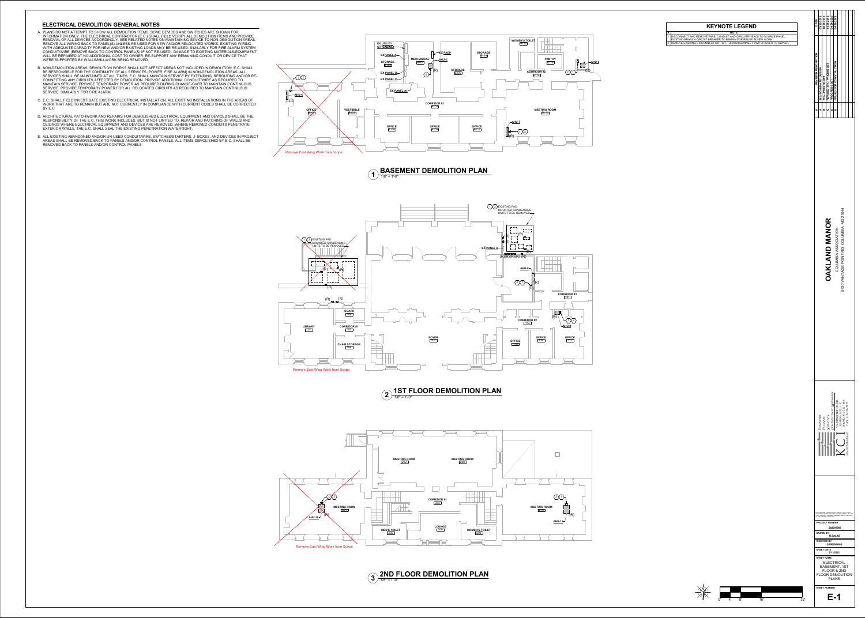

## **ELECTRICAL DEMOLITION GENERAL NOTES**

#### **2**  $\frac{10!}{1/8"}$  = 1'-0" **1ST FLOOR DEMOLITION PLAN**

 $3)$   $\frac{2110}{1/8" = 1'-0''}$ **2ND FLOOR DEMOLITION PLAN**

**# NOTE** 1 DISCONNECT AND REMOVE WIRE, CONDUIT AND CIRCUITRY BACK TO SOURCE PANEL. EXISTING BRANCH CIRCUIT BREAKER TO REMAIN FOR REUSE IN NEW WORK 2 REMOVE EXISTING DISCONNECT SWITCH. TURN DISCONNECT SWITCH OVER

- A. PLANS DO NOT ATTEMPT TO SHOW ALL DEMOLITION ITEMS. SOME DEVICES AND SWITCHES ARE SHOWN FOR INFORMATION ONLY. THE ELECTRICAL CONTRACTOR (E.C.) SHALL FIELD VERIFY ALL DEMOLITION ITEMS AND PROVIDE REMOVAL OF ALL DEVICES ACCORDINGLY. SEE RELATED NOTES ON MAINTAINING SEVICE TO NON-DEMOLITION AREAS. REMOVE ALL WIRING BACK TO PANEL(S) UNLESS RE-USED FOR NEW AND/OR RELOCATED WORKS. EXISTING WIRING WITH ADEQUATE CAPACITY FOR NEW AND/OR EXISTING LOADS MAY BE RE-USED. SIMILARLY FOR FIRE ALARM SYSTEM CONDUIT/WIRE (REMOVE BACK TO CONTROL PANEL(S) IF NOT RE-USED). DAMAGE TO EXISTING MATERIALS/EQUIPMENT WILL BE REPAIRED AT NO ADDITIONAL COST TO OWNER. RE-SUPPORT ANY REMAINING CONDUIT OR DEVICE THAT WERE SUPPORTED BY WALLS/MILLWORK BEING REMOVED.
- B. NON-DEMOLITION AREAS: DEMOLITION WORKS SHALL NOT AFFECT AREAS NOT INCLUDED IN DEMOLITION. E.C. SHALL BE RESPONSIBLE FOR THE CONTINUITY OF ALL SERVICES (POWER, FIRE ALARM) IN NON-DEMOLITION AREAS. ALL SERVICES SHALL BE MAINTAINED AT ALL TIMES. E.C. SHALL MAINTAIN SERVICE BY EXTENDING, REROUTING AND/OR RE-CONNECTING ANY CIRCUITS AFFECTED BY DEMOLITION. PROVIDE ADDITIONAL CONDUIT/WIRE AS REQUIRED TO MAINTAIN SERVICE. PROVIDE TEMPORARY POWER AS REQUIRED DURING CHANGE-OVER TO MAINTAIN CONTINUOUS SERVICE. PROVIDE TEMPORARY POWER FOR ALL RELOCATED CIRCUITS AS REQUIRED TO MAINTAIN CONTINUOUS SERVICE. SIMILARLY FOR FIRE ALARM.
- C. E.C. SHALL FIELD INVESTIGATE EXISTING ELECTRICAL INSTALLATION. ALL EXISTING INSTALLATIONS IN THE AREAS OF WORK THAT ARE TO REMAIN BUT ARE NOT CURRENTLY IN COMPLIANCE WITH CURRENT CODES SHALL BE CORRECTED BY E.C.
- D. ARCHITECTURAL PATCHWORK AND REPAIRS FOR DEMOLISHED ELECTRICAL EQUIPMENT AND DEVICES SHALL BE THE RESPONSIBILITY OF THE E.C. THIS WORK INCLUDES, BUT IS NOT LIMITED TO, REPAIR AND PATCHING OF WALLS AND CEILINGS WHERE ELECTRICAL EQUIPMENT AND DEVICES ARE REMOVED. WHERE REMOVED CONDUITS PENETRATE EXTERIOR WALLS, THE E.C. SHALL SEAL THE EXISTING PENETRATION WATERTIGHT.
- E. ALL EXISTING ABANDONED AND/OR UN-USED CONDUIT/WIRE, SWTCHES/STARTERS, J- BOXES, AND DEVICES IN PROJECT AREAS SHALL BE REMOVED BACK TO PANELS AND/OR CONTROL PANELS. ALL ITEMS DEMOLISHED BY E.C. SHALL BE REMOVED BACK TO PANELS AND/OR CONTROL PANELS.



#### $\begin{bmatrix} 1 \end{bmatrix}$  1/8" = 1'-0" **BASEMENT DEMOLITION PLAN**





| CE PANEL.   |  |
|-------------|--|
| ? TO OWNER. |  |
|             |  |

| DATE                 | 02/20/2018           | 10/21/2019                                                                                                  | 11/01/2019                | 04/24/2020           | 04/15/2022                                                                                                                                                                                                                                                                                                                                         |                  |                                                |                                  |            |  |
|----------------------|----------------------|-------------------------------------------------------------------------------------------------------------|---------------------------|----------------------|----------------------------------------------------------------------------------------------------------------------------------------------------------------------------------------------------------------------------------------------------------------------------------------------------------------------------------------------------|------------------|------------------------------------------------|----------------------------------|------------|--|
| REVISION DESCRIPTION | 35% SCHEMATIC DESIGN | 75% - PRICING SET                                                                                           | REVISED 75% - PRICING SET | <b>PROGRESS SET</b>  | ISSUED FOR CONSTRUCTION                                                                                                                                                                                                                                                                                                                            |                  |                                                |                                  |            |  |
| #                    |                      | œ                                                                                                           |                           |                      |                                                                                                                                                                                                                                                                                                                                                    |                  |                                                |                                  |            |  |
|                      |                      |                                                                                                             | AND MANOR<br>OAKL         |                      | COLUMBIA ASSOCIATION                                                                                                                                                                                                                                                                                                                               |                  | OINT RD, COLUMBIA, MD 21044<br>5430 VANTAGE PC |                                  |            |  |
|                      | NGINEERS             | <b>PLANNERS</b>                                                                                             | <b>SCIENTISTS</b>         | ONSTRUCTION MANAGERS | 936 RIDGEBROOK RD                                                                                                                                                                                                                                                                                                                                  | SPARKS, MD 21152 | PHONE: 410-316-7800                            | FAX: 410-316-7817<br>ECHNOLOGIES |            |  |
|                      | <b>PROFFESIONAL</b>  | OF THE STATE OF MARYLAND,<br><b>DRAWN BY</b><br><b>CHECKED BY</b><br><b>SHEET DATE</b><br><b>SHEET NAME</b> |                           |                      | CERTIFICATION. I CERTIFY THAT THESE<br>DOCUMENTS WERE PREPARED OR APPROVED BY ME,<br>THAT I AM A DULY LICENSED ENGINEER UNDER THE LAWS<br><b>PROJECT NUMBER</b><br>282001065<br><b>R.SALAS</b><br><b>G.DRENNING</b><br>3/11/2022<br><b>ELECTRICAL</b><br><b>BASEMENT, 1ST</b><br><b>FLOOR &amp; 2ND</b><br><b>FLOOR DEMOLITION</b><br><b>PLANS</b> |                  |                                                |                                  | <b>AND</b> |  |
|                      |                      | <b>SHEET NUMBER</b>                                                                                         |                           |                      | E-1                                                                                                                                                                                                                                                                                                                                                |                  |                                                |                                  |            |  |

# **KEYNOTE LEGEND**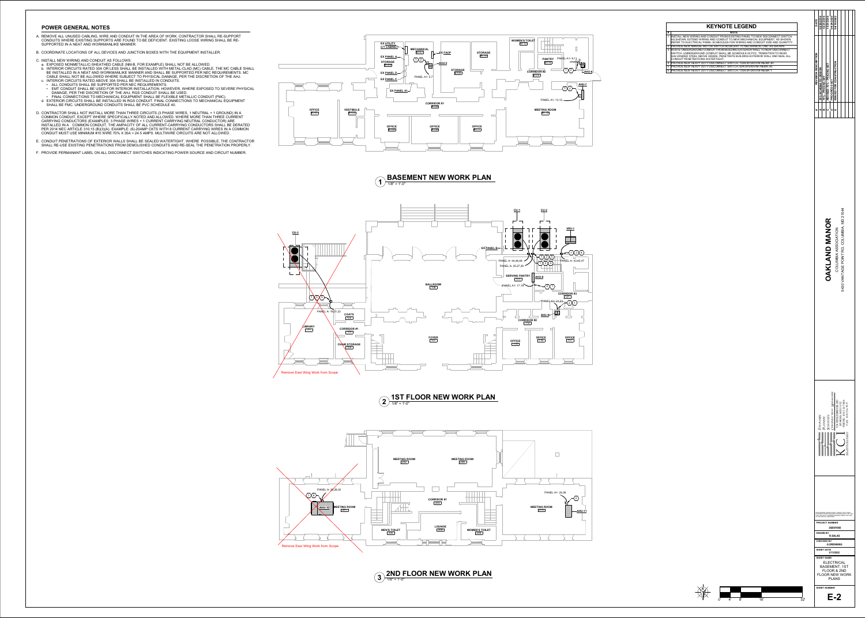

### **1**  $\frac{1}{1/8"}$  = 1'-0" **BASEMENT NEW WORK PLAN**

### **2**  $\frac{10!}{1/8"}$  = 1'-0" **1ST FLOOR NEW WORK PLAN**

 $3)$   $\frac{2110}{1/8" = 1'-0"}$ **2ND FLOOR NEW WORK PLAN**

- A. REMOVE ALL UNUSED CABLING, WIRE AND CONDUIT IN THE AREA OF WORK. CONTRACTOR SHALL RE-SUPPORT CONDUITS WHERE EXISTING SUPPORTS ARE FOUND TO BE DEFICIENT. EXISTING LOOSE WIRING SHALL BE RE-SUPPORTED IN A NEAT AND WORKMANLIKE MANNER.
- B. COORDINATE LOCATIONS OF ALL DEVICES AND JUNCTION BOXES WITH THE EQUIPMENT INSTALLER.
- C. INSTALL NEW WIRING AND CONDUIT AS FOLLOWS:
- a. EXPOSED NONMETALLIC-SHEATHED CABLE (NM-B, FOR EXAMPLE) SHALL NOT BE ALLOWED.
- b. INTERIOR CIRCUITS RATED 30A OR LESS SHALL BE INSTALLED WITH METAL-CLAD (MC) CABLE. THE MC CABLE SHALL BE INSTALLED IN A NEAT AND WORKMANLIKE MANNER AND SHALL BE SUPPORTED PER NEC REQUIREMENTS. MC CABLE SHALL NOT BE ALLOWED WHERE SUBJECT TO PHYSICAL DAMAGE, PER THE DISCRETION OF THE AHJ. c. INTERIOR CIRCUITS RATED ABOVE 30A SHALL BE INSTALLED IN CONDUITS.
- ALL CONDUITS SHALL BE SUPPORTED PER NEC REQUIREMENTS. • EMT CONDUIT SHALL BE USED FOR INTERIOR INSTALLATION. HOWEVER, WHERE EXPOSED TO SEVERE PHYSICAL DAMAGE, PER THE DISCRETION OF THE AHJ, RGS CONDUIT SHALL BE USED.
- FINAL CONNECTIONS TO MECHANICAL EQUIPMENT SHALL BE FLEXIBLE METALLIC CONDUIT (FMC). d. EXTERIOR CIRCUITS SHALL BE INSTALLED IN RGS CONDUIT. FINAL CONNECTIONS TO MECHANICAL EQUIPMENT
- SHALL BE FMC. UNDERGROUND CONDUITS SHALL BE PVC SCHEDULE 40.
- D. CONTRACTOR SHALL NOT INSTALL MORE THAN THREE CIRCUITS (3 PHASE WIRES, 1 NEUTRAL + 1 GROUND) IN A COMMON CONDUIT, EXCEPT WHERE SPECIFICALLY NOTED AND ALLOWED. WHERE MORE THAN THREE CURRENT CARRYING CONDUCTORS (EXAMPLES: 3 PHASE WIRES + 1 CURRENT CARRYING NEUTRAL CONDUCTOR) ARE INSTALLED IN A COMMON CONDUIT, THE AMPACITY OF ALL CURRENT-CARRYING CONDUCTORS SHALL BE DERATED PER 2014 NEC ARTICLE 310.15 (B)(3)(A). EXAMPLE: (6)-20AMP CKTS WITH 8 CURRENT CARRYING WIRES IN A COMMON CONDUIT MUST USE MINIMUM #10 WIRE 70% X 35A = 24.5 AMPS. MULTIWIRE CIRCUITS ARE NOT ALLOWED.
- E. CONDUIT PENETRATIONS OF EXTERIOR WALLS SHALL BE SEALED WATERTIGHT. WHERE POSSIBLE, THE CONTRACTOR SHALL RE-USE EXISTING PENETRATIONS FROM DEMOLISHED CONDUITS AND RE-SEAL THE PENETRATION PROPERLY.
- F. PROVIDE PERMANANT LABEL ON ALL DISCONNECT SWITCHES INDICATING POWER SOURCE AND CIRCUIT NUMBER.





#### **POWER GENERAL NOTES**

**N** 0' 4' 8' 16' 32'

| <b>INECT SWITCH,</b> |
|----------------------|
| <b>IT, AS SHOWN.</b> |
| AND QUANTITY.        |
| S SHOWN.             |
| <b>DISCONNECT</b>    |
| N TO RIGID           |
| AND SEAL ALL         |
|                      |
| ₹.                   |
|                      |
|                      |

| DATE                      | 02/20/2018                | 10/21/2019             | 11/01/2019                                                                                                      | 04/24/2020           | 04/15/2022                                                                                                                                                                                                                                                                                                                                             |                  |                                              |                                             |  |
|---------------------------|---------------------------|------------------------|-----------------------------------------------------------------------------------------------------------------|----------------------|--------------------------------------------------------------------------------------------------------------------------------------------------------------------------------------------------------------------------------------------------------------------------------------------------------------------------------------------------------|------------------|----------------------------------------------|---------------------------------------------|--|
| REVISION DESCRIPTION<br>Ħ | 35% SCHEMATIC DESIGN<br>đ | 75% - PRICING SET<br>m | REVISED 75% - PRICING SET                                                                                       | <b>PROGRESS SET</b>  | ISSUED FOR CONSTRUCTION                                                                                                                                                                                                                                                                                                                                |                  |                                              |                                             |  |
|                           |                           |                        | <b>OAKLAND MANOR</b>                                                                                            |                      | COLUMBIA ASSOCIATION                                                                                                                                                                                                                                                                                                                                   |                  | POINT RD, COLUMBIA, MD 21044<br>5430 VANTAGE |                                             |  |
|                           | ENGINEERS                 | <b>DLANNERS</b>        | <b>SCIENTISTS</b>                                                                                               | ONSTRUCTION MANAGERS | 936 RIDGEBROOK RD                                                                                                                                                                                                                                                                                                                                      | SPARKS, MD 21152 | HONE: 410-316-7800                           | FAX: 410-316-7817<br><b>CHNOLOGIES</b><br>Ě |  |
|                           |                           | <b>DRAWN BY</b>        | OF THE STATE OF MARYLAND,<br><b>CHECKED BY</b><br><b>SHEET DATE</b><br><b>SHEET NAME</b><br><b>SHEET NUMBER</b> | E-2                  | PROFFESIONAL CERTIFICATION. I CERTIFY THAT THESE<br>DOCUMENTS WERE PREPARED OR APPROVED BY ME, AND<br>THAT I AM A DULY LICENSED ENGINEER UNDER THE LAWS<br><b>PROJECT NUMBER</b><br>282001065<br><b>R.SALAS</b><br><b>G.DRENNING</b><br>3/11/2022<br><b>ELECTRICAL</b><br><b>BASEMENT, 1ST</b><br>FLOOR & 2ND<br><b>FLOOR NEW WORK</b><br><b>PLANS</b> |                  |                                              |                                             |  |

# **KEYNOTE LEGEND**

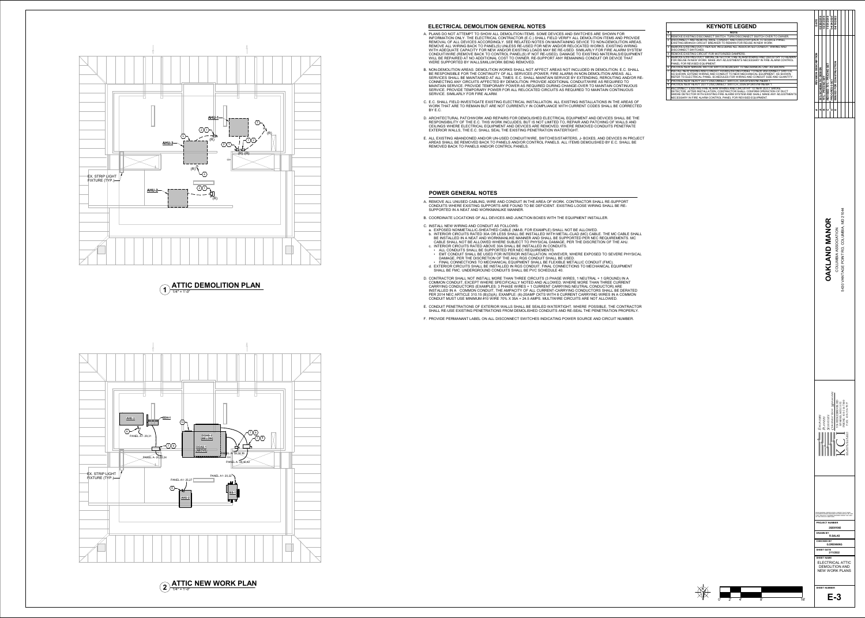

### **ELECTRICAL DEMOLITION GENERAL NOTES**

A. PLANS DO NOT ATTEMPT TO SHOW ALL DEMOLITION ITEMS. SOME DEVICES AND SWITCHES ARE SHOWN FOR INFORMATION ONLY. THE ELECTRICAL CONTRACTOR (E.C.) SHALL FIELD VERIFY ALL DEMOLITION ITEMS AND PROVIDE REMOVAL OF ALL DEVICES ACCORDINGLY. SEE RELATED NOTES ON MAINTAINING SEVICE TO NON-DEMOLITION AREAS. REMOVE ALL WIRING BACK TO PANEL(S) UNLESS RE-USED FOR NEW AND/OR RELOCATED WORKS. EXISTING WIRING WITH ADEQUATE CAPACITY FOR NEW AND/OR EXISTING LOADS MAY BE RE-USED. SIMILARLY FOR FIRE ALARM SYSTEM CONDUIT/WIRE (REMOVE BACK TO CONTROL PANEL(S) IF NOT RE-USED). DAMAGE TO EXISTING MATERIALS/EQUIPMENT WILL BE REPAIRED AT NO ADDITIONAL COST TO OWNER. RE-SUPPORT ANY REMAINING CONDUIT OR DEVICE THAT

B. NON-DEMOLITION AREAS: DEMOLITION WORKS SHALL NOT AFFECT AREAS NOT INCLUDED IN DEMOLITION. E.C. SHALL BE RESPONSIBLE FOR THE CONTINUITY OF ALL SERVICES (POWER, FIRE ALARM) IN NON-DEMOLITION AREAS. ALL SERVICES SHALL BE MAINTAINED AT ALL TIMES. E.C. SHALL MAINTAIN SERVICE BY EXTENDING, REROUTING AND/OR RE-CONNECTING ANY CIRCUITS AFFECTED BY DEMOLITION. PROVIDE ADDITIONAL CONDUIT/WIRE AS REQUIRED TO MAINTAIN SERVICE. PROVIDE TEMPORARY POWER AS REQUIRED DURING CHANGE-OVER TO MAINTAIN CONTINUOUS SERVICE. PROVIDE TEMPORARY POWER FOR ALL RELOCATED CIRCUITS AS REQUIRED TO MAINTAIN CONTINUOUS

- WERE SUPPORTED BY WALLS/MILLWORK BEING REMOVED.
- SERVICE. SIMILARLY FOR FIRE ALARM.
- BY E.C.
- EXTERIOR WALLS, THE E.C. SHALL SEAL THE EXISTING PENETRATION WATERTIGHT.
- REMOVED BACK TO PANELS AND/OR CONTROL PANELS.

C. E.C. SHALL FIELD INVESTIGATE EXISTING ELECTRICAL INSTALLATION. ALL EXISTING INSTALLATIONS IN THE AREAS OF WORK THAT ARE TO REMAIN BUT ARE NOT CURRENTLY IN COMPLIANCE WITH CURRENT CODES SHALL BE CORRECTED

D. CONTRACTOR SHALL NOT INSTALL MORE THAN THREE CIRCUITS (3 PHASE WIRES, 1 NEUTRAL + 1 GROUND) IN A COMMON CONDUIT, EXCEPT WHERE SPECIFICALLY NOTED AND ALLOWED. WHERE MORE THAN THREE CURRENT CARRYING CONDUCTORS (EXAMPLES: 3 PHASE WIRES + 1 CURRENT CARRYING NEUTRAL CONDUCTOR) ARE INSTALLED IN A COMMON CONDUIT, THE AMPACITY OF ALL CURRENT-CARRYING CONDUCTORS SHALL BE DERATED PER 2014 NEC ARTICLE 310.15 (B)(3)(A). EXAMPLE: (6)-20AMP CKTS WITH 8 CURRENT CARRYING WIRES IN A COMMON CONDUIT MUST USE MINIMUM  $\hat{\#}10$  WIRE 70% X 35A = 24.5 AMPS. MULTIWIRE CIRCUITS ARE NOT ALLOWED.

D. ARCHITECTURAL PATCHWORK AND REPAIRS FOR DEMOLISHED ELECTRICAL EQUIPMENT AND DEVICES SHALL BE THE RESPONSIBILITY OF THE E.C. THIS WORK INCLUDES, BUT IS NOT LIMITED TO, REPAIR AND PATCHING OF WALLS AND CEILINGS WHERE ELECTRICAL EQUIPMENT AND DEVICES ARE REMOVED. WHERE REMOVED CONDUITS PENETRATE

E. ALL EXISTING ABANDONED AND/OR UN-USED CONDUIT/WIRE, SWTCHES/STARTERS, J- BOXES, AND DEVICES IN PROJECT AREAS SHALL BE REMOVED BACK TO PANELS AND/OR CONTROL PANELS. ALL ITEMS DEMOLISHED BY E.C. SHALL BE

A. REMOVE ALL UNUSED CABLING, WIRE AND CONDUIT IN THE AREA OF WORK. CONTRACTOR SHALL RE-SUPPORT CONDUITS WHERE EXISTING SUPPORTS ARE FOUND TO BE DEFICIENT. EXISTING LOOSE WIRING SHALL BE RE-

#### **1**  $\frac{1}{1/4}$  = 1'-0" **ATTIC DEMOLITION PLAN**

B. COORDINATE LOCATIONS OF ALL DEVICES AND JUNCTION BOXES WITH THE EQUIPMENT INSTALLER.



CABLE SHALL NOT BE ALLOWED WHERE SUBJECT TO PHYSICAL DAMAGE, PER THE DISCRETION OF THE AHJ.

- SUPPORTED IN A NEAT AND WORKMANLIKE MANNER.
- 
- C. INSTALL NEW WIRING AND CONDUIT AS FOLLOWS: a. EXPOSED NONMETALLIC-SHEATHED CABLE (NM-B, FOR EXAMPLE) SHALL NOT BE ALLOWED. b. INTERIOR CIRCUITS RATED 30A OR LESS SHALL BE INSTALLED WITH METAL-CLAD (MC) CABLE. THE MC CABLE SHALL BE INSTALLED IN A NEAT AND WORKMANLIKE MANNER AND SHALL BE SUPPORTED PER NEC REQUIREMENTS. MC
- c. INTERIOR CIRCUITS RATED ABOVE 30A SHALL BE INSTALLED IN CONDUITS. • ALL CONDUITS SHALL BE SUPPORTED PER NEC REQUIREMENTS.
- DAMAGE, PER THE DISCRETION OF THE AHJ, RGS CONDUIT SHALL BE USED. • FINAL CONNECTIONS TO MECHANICAL EQUIPMENT SHALL BE FLEXIBLE METALLIC CONDUIT (FMC).
- SHALL BE FMC. UNDERGROUND CONDUITS SHALL BE PVC SCHEDULE 40.
- 
- 
- 

• EMT CONDUIT SHALL BE USED FOR INTERIOR INSTALLATION. HOWEVER, WHERE EXPOSED TO SEVERE PHYSICAL

d. EXTERIOR CIRCUITS SHALL BE INSTALLED IN RGS CONDUIT. FINAL CONNECTIONS TO MECHANICAL EQUIPMENT

E. CONDUIT PENETRATIONS OF EXTERIOR WALLS SHALL BE SEALED WATERTIGHT. WHERE POSSIBLE, THE CONTRACTOR SHALL RE-USE EXISTING PENETRATIONS FROM DEMOLISHED CONDUITS AND RE-SEAL THE PENETRATION PROPERLY.

F. PROVIDE PERMANANT LABEL ON ALL DISCONNECT SWITCHES INDICATING POWER SOURCE AND CIRCUIT NUMBER.

#### **POWER GENERAL NOTES**

**N**

0' 2' 4' 8' 16'

| DATE                 | 02/20/2018                                                                                                  | 10/21/2019        | 11/01/2019                | 04/24/2020                       | 04/15/2022                                                                                                                                                                                                                                                                                                                     |                  |                                           |                                  |  |
|----------------------|-------------------------------------------------------------------------------------------------------------|-------------------|---------------------------|----------------------------------|--------------------------------------------------------------------------------------------------------------------------------------------------------------------------------------------------------------------------------------------------------------------------------------------------------------------------------|------------------|-------------------------------------------|----------------------------------|--|
| REVISION DESCRIPTION | 35% SCHEMATIC DESIGN                                                                                        | 75% - PRICING SET | REVISED 75% - PRICING SET | <b>PROGRESS SET</b>              | <b>ISSUED FOR CONSTRUCTION</b>                                                                                                                                                                                                                                                                                                 |                  |                                           |                                  |  |
|                      |                                                                                                             |                   |                           |                                  |                                                                                                                                                                                                                                                                                                                                |                  |                                           |                                  |  |
|                      |                                                                                                             |                   | <b>OAKLAND MANOR</b>      |                                  | COLUMBIA ASSOCIATION                                                                                                                                                                                                                                                                                                           |                  | 5430 VANTAGE POINT RD, COLUMBIA, MD 21044 |                                  |  |
|                      | ENGINEERS                                                                                                   | <b>PLANNERS</b>   | <b>SCIENTISTS</b>         | ERS<br><b>DNSTRUCTION MANAGI</b> | 936 RIDGEBROOK RD                                                                                                                                                                                                                                                                                                              | SPARKS, MD 21152 | PHONE: 410-316-7800                       | FAX: 410-316-7817<br>ECHNOLOGIES |  |
|                      | OF THE STATE OF MARYLAND,<br><b>DRAWN BY</b><br><b>CHECKED BY</b><br><b>SHEET DATE</b><br><b>SHEET NAME</b> |                   |                           |                                  | PROFFESIONAL CERTIFICATION. I CERTIFY THAT THESE<br>DOCUMENTS WERE PREPARED OR APPROVED BY ME, AND<br>THAT I AM A DULY LICENSED ENGINEER UNDER THE LAWS<br><b>PROJECT NUMBER</b><br>282001065<br><b>R.SALAS</b><br><b>G.DRENNING</b><br>3/11/2022<br><b>ELECTRICAL ATTIC</b><br><b>DEMOLITION AND</b><br><b>NEW WORK PLANS</b> |                  |                                           |                                  |  |
|                      | <b>SHEET NUMBER</b>                                                                                         |                   |                           |                                  | E-3                                                                                                                                                                                                                                                                                                                            |                  |                                           |                                  |  |

### **KEYNOTE LEGEND**

- **# NOTE** 1 REMOVE EXISTING DISCONNECT SWITCH. TURN DISCONNECT SWITCH OVER 2 DISCONNECT AND REMOVE WIRE, CONDUIT AND CIRCUITRY BACK TO SOURC
- EXISTING BRANCH CIRCUIT BREAKER TO REMAIN FOR REUSE IN NEW WORK 3 REMOVE EXISTING DUCT HEATER, INCLUDING ALL ASSOCIATED CONDUIT, W
- DISCONNECT SWITCHES. 4 REMOVE EXISTING CIRCUIT FOR MOTORIZED DAMPERS.
- 5 REMOVE EXISTING DUCT SMOKE DETECTOR. FIRE ALARM WIRING AND CIRCU FOR REUSE IN NEW WORK. MAKE ANY ADJUSTMENTS NECESSARY IN FIRE ALARM CONTROL IN THE ALARM CONTROL IN THE ALARM CONTROL IN THE ALARM CONTROL IN THE ALARM CONTROL IN THE ALARM CONTROL IN THE ALARM CONTROL IN THE ALARM CONTROL PANEL FOR REVISED EQUIPMENT.
- 6 PROVIDE NEW MANUAL MOTOR SWITCH ADJACENT TO MECHANICAL UNIT AS 7 INSTALL NEW WIRING AND CONDUIT FROM EXISTING PANEL TO NEW DISCON AS SHOWN. EXTEND WIRING AND CONDUIT TO NEW MECHANICAL EQUIPMENT
- REFER TO ELECTRICAL PANEL SCHEDULES FOR WIRING AND CONDUIT SIZE  $\overline{A}$ 8 PROVIDE NEW HEAVY DUTY DISCONNECT SWITCH, 30A/3P/240V/NF/NEMA 1.

9 PROVIDE NEW HEAVY DUTY DISCONNECT SWITCH, 200A/3P/240V/NF/NEMA 1. 10 RECONNECT EXISTING FIRE ALARM WIRING AND CIRCUITRY TO NEW DUCT S DETECTOR. AFTER INSTALLATION, CONTRACTOR SHALL CONFIRM OPERATIO SMOKE DETECTOR WITH EXISTING FIRE ALARM SYSTEM AND SHALL MAKE ANY ADJUSTMENTS NECESSARY IN FIRE ALARM CONTROL PANEL FOR REVISED EQUIPMENT.

| R TO OWNER.          |
|----------------------|
| CE PANEL.            |
| <b>IRING AND</b>     |
|                      |
| UITRY TO REMAIN      |
| <b>LARM CONTROL</b>  |
| S SHOWN.             |
| <b>NNECT SWITCH,</b> |
| <b>NT, AS SHOWN.</b> |
| AND QUANTITY.        |
|                      |
|                      |
| <b>SMOKE</b>         |
| ON OF DUCT           |
| NN AF<br>.           |